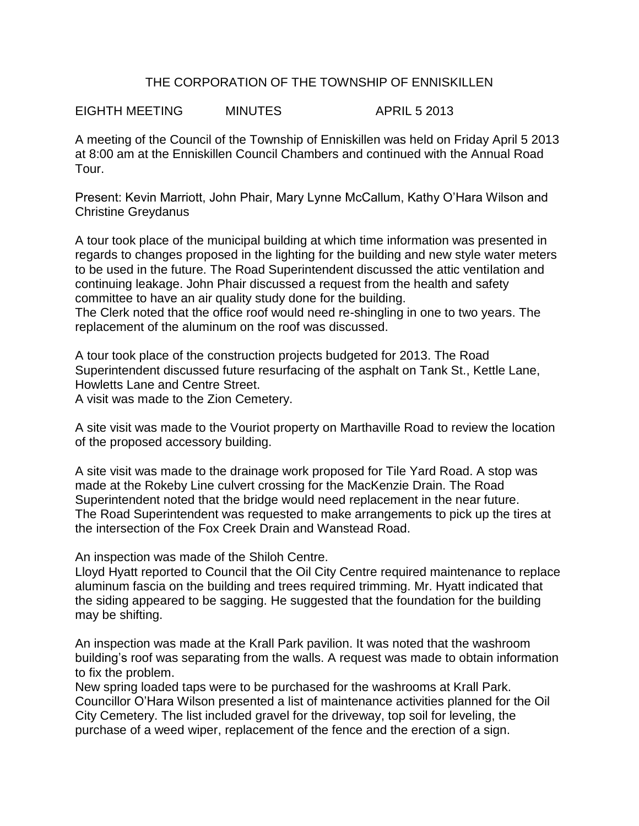## THE CORPORATION OF THE TOWNSHIP OF ENNISKILLEN

EIGHTH MEETING MINUTES APRIL 5 2013

A meeting of the Council of the Township of Enniskillen was held on Friday April 5 2013 at 8:00 am at the Enniskillen Council Chambers and continued with the Annual Road Tour.

Present: Kevin Marriott, John Phair, Mary Lynne McCallum, Kathy O'Hara Wilson and Christine Greydanus

A tour took place of the municipal building at which time information was presented in regards to changes proposed in the lighting for the building and new style water meters to be used in the future. The Road Superintendent discussed the attic ventilation and continuing leakage. John Phair discussed a request from the health and safety committee to have an air quality study done for the building.

The Clerk noted that the office roof would need re-shingling in one to two years. The replacement of the aluminum on the roof was discussed.

A tour took place of the construction projects budgeted for 2013. The Road Superintendent discussed future resurfacing of the asphalt on Tank St., Kettle Lane, Howletts Lane and Centre Street.

A visit was made to the Zion Cemetery.

A site visit was made to the Vouriot property on Marthaville Road to review the location of the proposed accessory building.

A site visit was made to the drainage work proposed for Tile Yard Road. A stop was made at the Rokeby Line culvert crossing for the MacKenzie Drain. The Road Superintendent noted that the bridge would need replacement in the near future. The Road Superintendent was requested to make arrangements to pick up the tires at the intersection of the Fox Creek Drain and Wanstead Road.

An inspection was made of the Shiloh Centre.

Lloyd Hyatt reported to Council that the Oil City Centre required maintenance to replace aluminum fascia on the building and trees required trimming. Mr. Hyatt indicated that the siding appeared to be sagging. He suggested that the foundation for the building may be shifting.

An inspection was made at the Krall Park pavilion. It was noted that the washroom building's roof was separating from the walls. A request was made to obtain information to fix the problem.

New spring loaded taps were to be purchased for the washrooms at Krall Park. Councillor O'Hara Wilson presented a list of maintenance activities planned for the Oil City Cemetery. The list included gravel for the driveway, top soil for leveling, the purchase of a weed wiper, replacement of the fence and the erection of a sign.